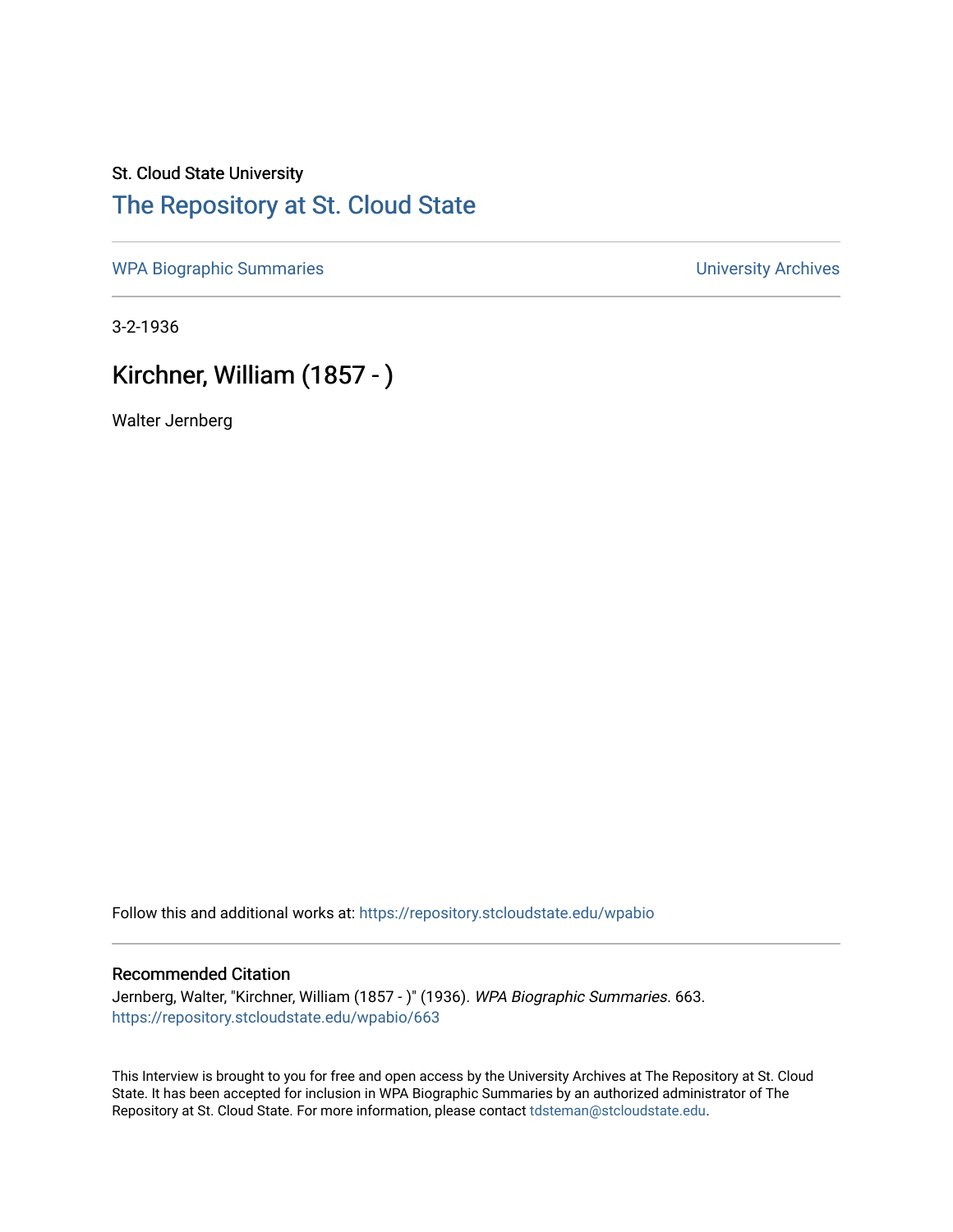## St. Cloud State University [The Repository at St. Cloud State](https://repository.stcloudstate.edu/)

[WPA Biographic Summaries](https://repository.stcloudstate.edu/wpabio) **WPA Biographic Summaries University Archives** 

3-2-1936

# Kirchner, William (1857 - )

Walter Jernberg

Follow this and additional works at: [https://repository.stcloudstate.edu/wpabio](https://repository.stcloudstate.edu/wpabio?utm_source=repository.stcloudstate.edu%2Fwpabio%2F663&utm_medium=PDF&utm_campaign=PDFCoverPages) 

### Recommended Citation

Jernberg, Walter, "Kirchner, William (1857 - )" (1936). WPA Biographic Summaries. 663. [https://repository.stcloudstate.edu/wpabio/663](https://repository.stcloudstate.edu/wpabio/663?utm_source=repository.stcloudstate.edu%2Fwpabio%2F663&utm_medium=PDF&utm_campaign=PDFCoverPages) 

This Interview is brought to you for free and open access by the University Archives at The Repository at St. Cloud State. It has been accepted for inclusion in WPA Biographic Summaries by an authorized administrator of The Repository at St. Cloud State. For more information, please contact [tdsteman@stcloudstate.edu.](mailto:tdsteman@stcloudstate.edu)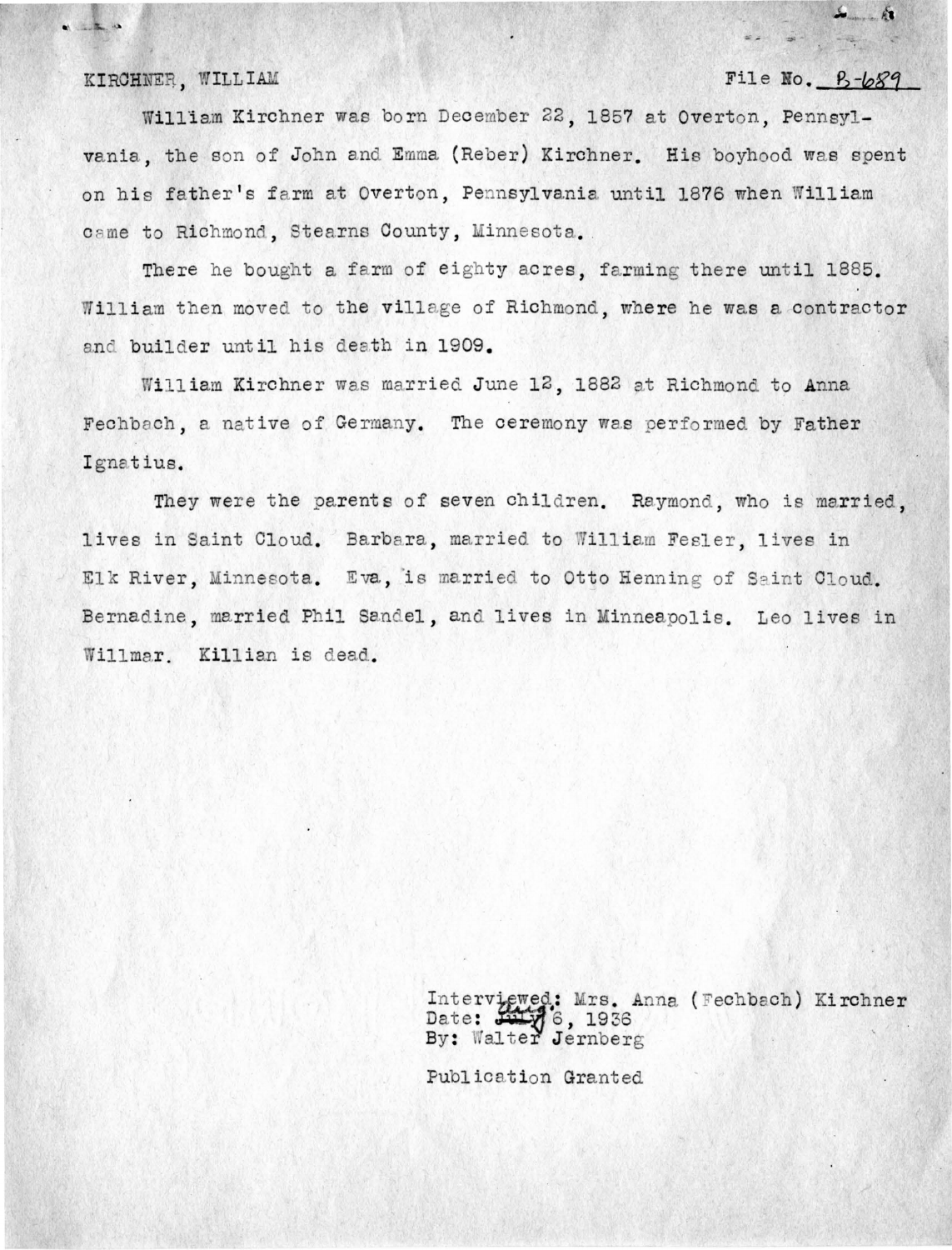KIRCHNER, WILL IAM

 $\alpha$   $\alpha$ 

### $File No. 8 - b.89$

 $\frac{1}{2}$ 

William Kirchner was born December 22, 1857 at Overton, Pennsylvania, the son of John and Emma (Reber) Kirchner. His boyhood was spent on his father's farm at Overton, Pennsylvania until 1876 when William came to Richmond, Stearns County, Minnesota.

There he bought a farm of eighty acres. farming there until 1885. William then moved to the village of Richmond, where he was a contractor and builder until his death in 1909.

William Kirchner was married June 12, 1882 at Richmond to Anna Fechbach, a native of Germany. The ceremony was performed by Father Ignatius.

They were the parents of seven children. Raymond, who is married. lives in Saint Cloud. Barbara, married to William Fesler, lives in Elk River, Minnesota. Eva, is married to Otto Henning of Saint Cloud. Bernadine, married Phil Sandel, and lives in Minneapolis. Leo lives in Willmar. Killian is dead.

> Interviewed: Mrs. Anna (Fechbach) Kirchner Date:  $2476, 1936$ By: Walter Jernberg

Publication Granted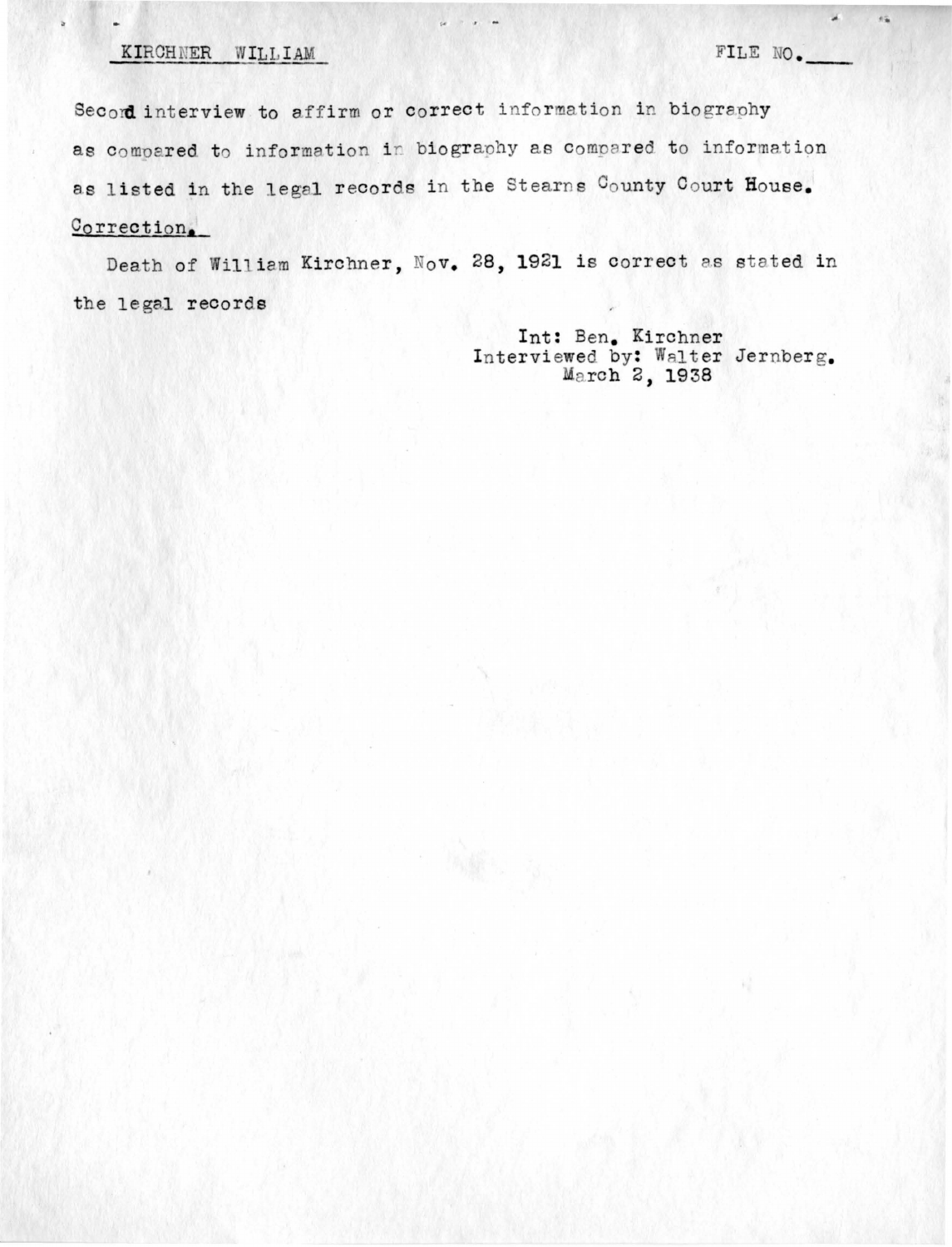## KIRCHNER WILLIAM FILE NO.

 $\pi_{\mathbf{R}}$ 

Secord interview to affirm or correct information in biography as compared to information in biography as compared to information as listed in the legal records in the Stearns County Court House. Correction.

 $\label{eq:1.1} \begin{array}{cccccccccc} \mathbb{R} & \mathbb{R} & \mathbb{R} & \mathbb{R} & \mathbb{R} & \mathbb{R} & \mathbb{R} & \mathbb{R} & \mathbb{R} & \mathbb{R} & \mathbb{R} & \mathbb{R} & \mathbb{R} & \mathbb{R} & \mathbb{R} & \mathbb{R} & \mathbb{R} & \mathbb{R} & \mathbb{R} & \mathbb{R} & \mathbb{R} & \mathbb{R} & \mathbb{R} & \mathbb{R} & \mathbb{R} & \mathbb{R} & \mathbb{R} & \mathbb{R} & \mathbb{R}$ 

Death of William Kirchner, Nov. 28, 1921 is correct as stated in the legal records

> Int: Ben. Kirchner Interviewed by: Walter Jernberg.<br>March 2, 1938